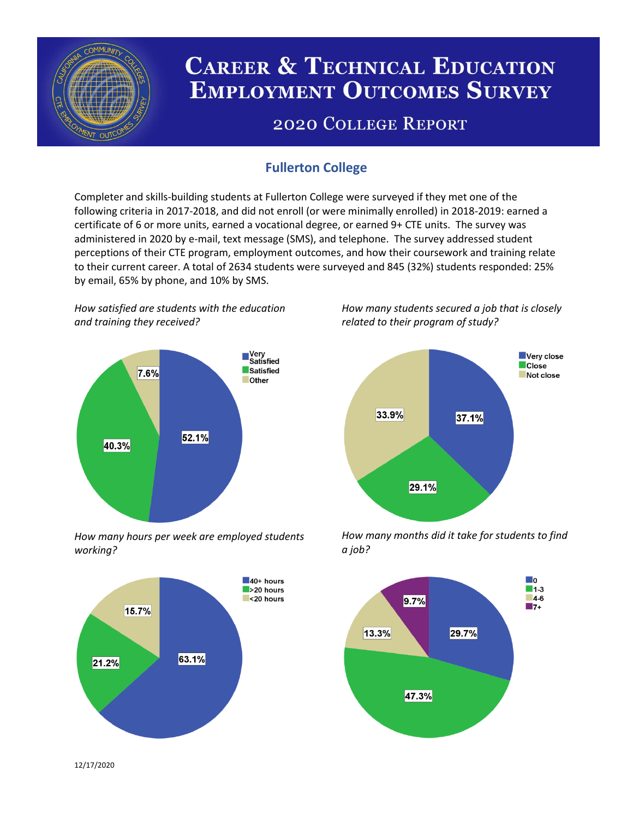

# **CAREER & TECHNICAL EDUCATION EMPLOYMENT OUTCOMES SURVEY**

## **2020 COLLEGE REPORT**

## **Fullerton College**

Completer and skills-building students at Fullerton College were surveyed if they met one of the following criteria in 2017-2018, and did not enroll (or were minimally enrolled) in 2018-2019: earned a certificate of 6 or more units, earned a vocational degree, or earned 9+ CTE units. The survey was administered in 2020 by e-mail, text message (SMS), and telephone. The survey addressed student perceptions of their CTE program, employment outcomes, and how their coursework and training relate to their current career. A total of 2634 students were surveyed and 845 (32%) students responded: 25% by email, 65% by phone, and 10% by SMS.

*How satisfied are students with the education and training they received?*



*How many hours per week are employed students working?*



*How many students secured a job that is closely related to their program of study?*



*How many months did it take for students to find a job?*



12/17/2020